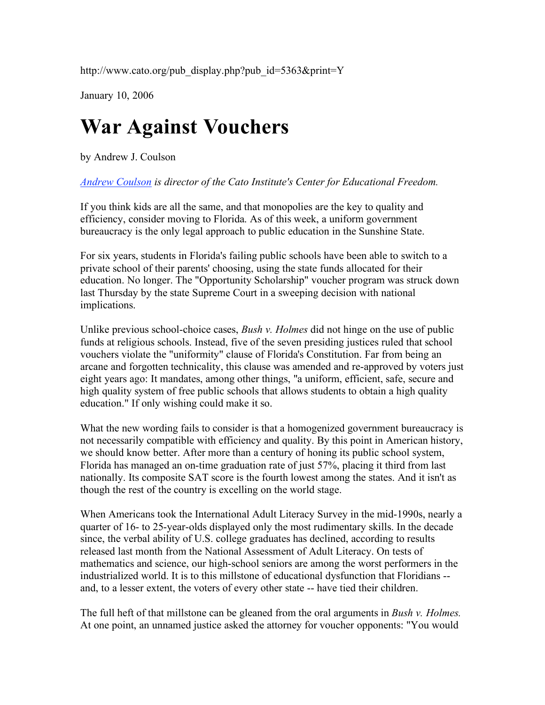http://www.cato.org/pub\_display.php?pub\_id=5363&print=Y

January 10, 2006

## **War Against Vouchers**

by Andrew J. Coulson

*Andrew Coulson is director of the Cato Institute's Center for Educational Freedom.*

If you think kids are all the same, and that monopolies are the key to quality and efficiency, consider moving to Florida. As of this week, a uniform government bureaucracy is the only legal approach to public education in the Sunshine State.

For six years, students in Florida's failing public schools have been able to switch to a private school of their parents' choosing, using the state funds allocated for their education. No longer. The "Opportunity Scholarship" voucher program was struck down last Thursday by the state Supreme Court in a sweeping decision with national implications.

Unlike previous school-choice cases, *Bush v. Holmes* did not hinge on the use of public funds at religious schools. Instead, five of the seven presiding justices ruled that school vouchers violate the "uniformity" clause of Florida's Constitution. Far from being an arcane and forgotten technicality, this clause was amended and re-approved by voters just eight years ago: It mandates, among other things, "a uniform, efficient, safe, secure and high quality system of free public schools that allows students to obtain a high quality education." If only wishing could make it so.

What the new wording fails to consider is that a homogenized government bureaucracy is not necessarily compatible with efficiency and quality. By this point in American history, we should know better. After more than a century of honing its public school system, Florida has managed an on-time graduation rate of just 57%, placing it third from last nationally. Its composite SAT score is the fourth lowest among the states. And it isn't as though the rest of the country is excelling on the world stage.

When Americans took the International Adult Literacy Survey in the mid-1990s, nearly a quarter of 16- to 25-year-olds displayed only the most rudimentary skills. In the decade since, the verbal ability of U.S. college graduates has declined, according to results released last month from the National Assessment of Adult Literacy. On tests of mathematics and science, our high-school seniors are among the worst performers in the industrialized world. It is to this millstone of educational dysfunction that Floridians - and, to a lesser extent, the voters of every other state -- have tied their children.

The full heft of that millstone can be gleaned from the oral arguments in *Bush v. Holmes.* At one point, an unnamed justice asked the attorney for voucher opponents: "You would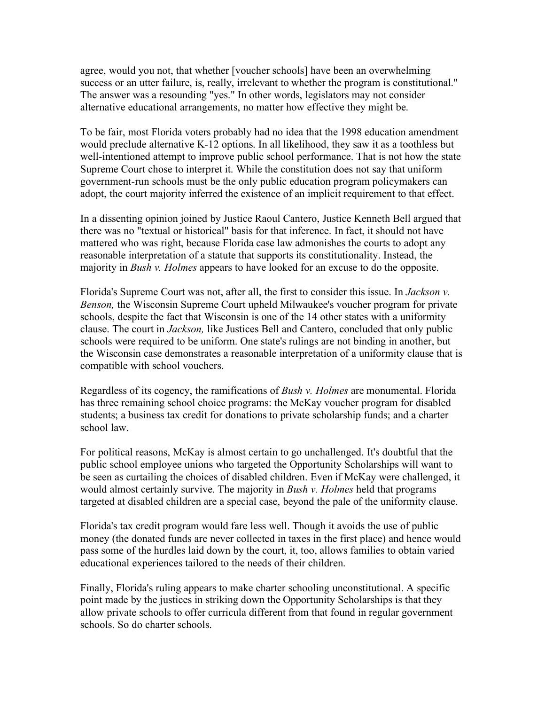agree, would you not, that whether [voucher schools] have been an overwhelming success or an utter failure, is, really, irrelevant to whether the program is constitutional." The answer was a resounding "yes." In other words, legislators may not consider alternative educational arrangements, no matter how effective they might be.

To be fair, most Florida voters probably had no idea that the 1998 education amendment would preclude alternative K-12 options. In all likelihood, they saw it as a toothless but well-intentioned attempt to improve public school performance. That is not how the state Supreme Court chose to interpret it. While the constitution does not say that uniform government-run schools must be the only public education program policymakers can adopt, the court majority inferred the existence of an implicit requirement to that effect.

In a dissenting opinion joined by Justice Raoul Cantero, Justice Kenneth Bell argued that there was no "textual or historical" basis for that inference. In fact, it should not have mattered who was right, because Florida case law admonishes the courts to adopt any reasonable interpretation of a statute that supports its constitutionality. Instead, the majority in *Bush v. Holmes* appears to have looked for an excuse to do the opposite.

Florida's Supreme Court was not, after all, the first to consider this issue. In *Jackson v. Benson,* the Wisconsin Supreme Court upheld Milwaukee's voucher program for private schools, despite the fact that Wisconsin is one of the 14 other states with a uniformity clause. The court in *Jackson,* like Justices Bell and Cantero, concluded that only public schools were required to be uniform. One state's rulings are not binding in another, but the Wisconsin case demonstrates a reasonable interpretation of a uniformity clause that is compatible with school vouchers.

Regardless of its cogency, the ramifications of *Bush v. Holmes* are monumental. Florida has three remaining school choice programs: the McKay voucher program for disabled students; a business tax credit for donations to private scholarship funds; and a charter school law.

For political reasons, McKay is almost certain to go unchallenged. It's doubtful that the public school employee unions who targeted the Opportunity Scholarships will want to be seen as curtailing the choices of disabled children. Even if McKay were challenged, it would almost certainly survive. The majority in *Bush v. Holmes* held that programs targeted at disabled children are a special case, beyond the pale of the uniformity clause.

Florida's tax credit program would fare less well. Though it avoids the use of public money (the donated funds are never collected in taxes in the first place) and hence would pass some of the hurdles laid down by the court, it, too, allows families to obtain varied educational experiences tailored to the needs of their children.

Finally, Florida's ruling appears to make charter schooling unconstitutional. A specific point made by the justices in striking down the Opportunity Scholarships is that they allow private schools to offer curricula different from that found in regular government schools. So do charter schools.